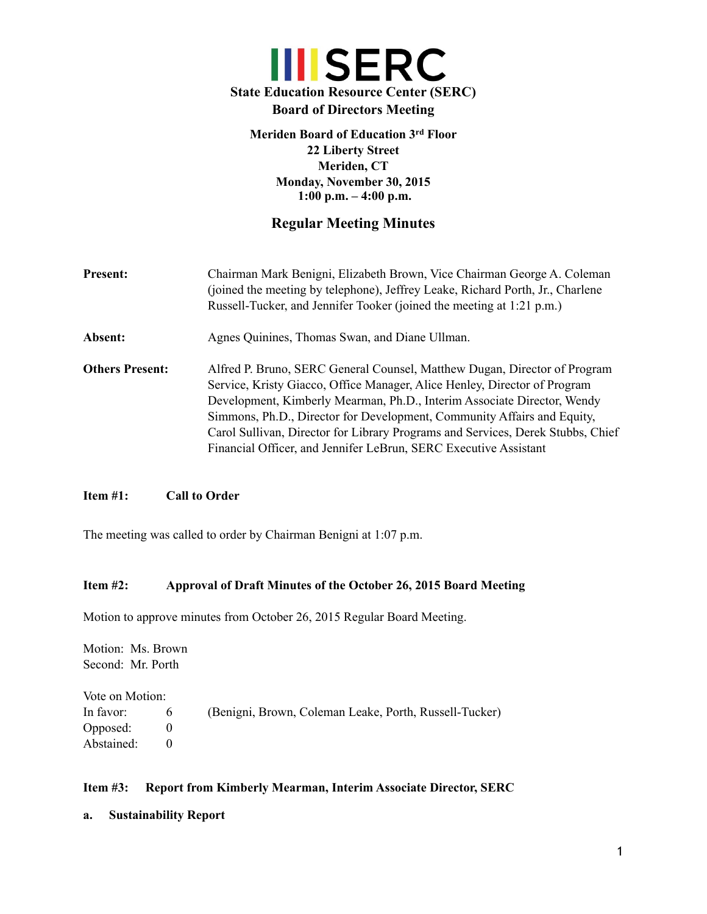# **III** SERC **State Education Resource Center (SERC) Board of Directors Meeting**

## **Meriden Board of Education 3rd Floor 22 Liberty Street Meriden, CT Monday, November 30, 2015 1:00 p.m. – 4:00 p.m.**

## **Regular Meeting Minutes**

- **Present:** Chairman Mark Benigni, Elizabeth Brown, Vice Chairman George A. Coleman (joined the meeting by telephone), Jeffrey Leake, Richard Porth, Jr., Charlene Russell-Tucker, and Jennifer Tooker (joined the meeting at 1:21 p.m.)
- Absent: Agnes Quinines, Thomas Swan, and Diane Ullman.
- **Others Present:** Alfred P. Bruno, SERC General Counsel, Matthew Dugan, Director of Program Service, Kristy Giacco, Office Manager, Alice Henley, Director of Program Development, Kimberly Mearman, Ph.D., Interim Associate Director, Wendy Simmons, Ph.D., Director for Development, Community Affairs and Equity, Carol Sullivan, Director for Library Programs and Services, Derek Stubbs, Chief Financial Officer, and Jennifer LeBrun, SERC Executive Assistant

## **Item #1: Call to Order**

The meeting was called to order by Chairman Benigni at 1:07 p.m.

## **Item #2: Approval of Draft Minutes of the October 26, 2015 Board Meeting**

Motion to approve minutes from October 26, 2015 Regular Board Meeting.

Motion: Ms. Brown Second: Mr. Porth Vote on Motion: In favor: 6 (Benigni, Brown, Coleman Leake, Porth, Russell-Tucker) Opposed: 0 Abstained: 0

## **Item #3: Report from Kimberly Mearman, Interim Associate Director, SERC**

**a. Sustainability Report**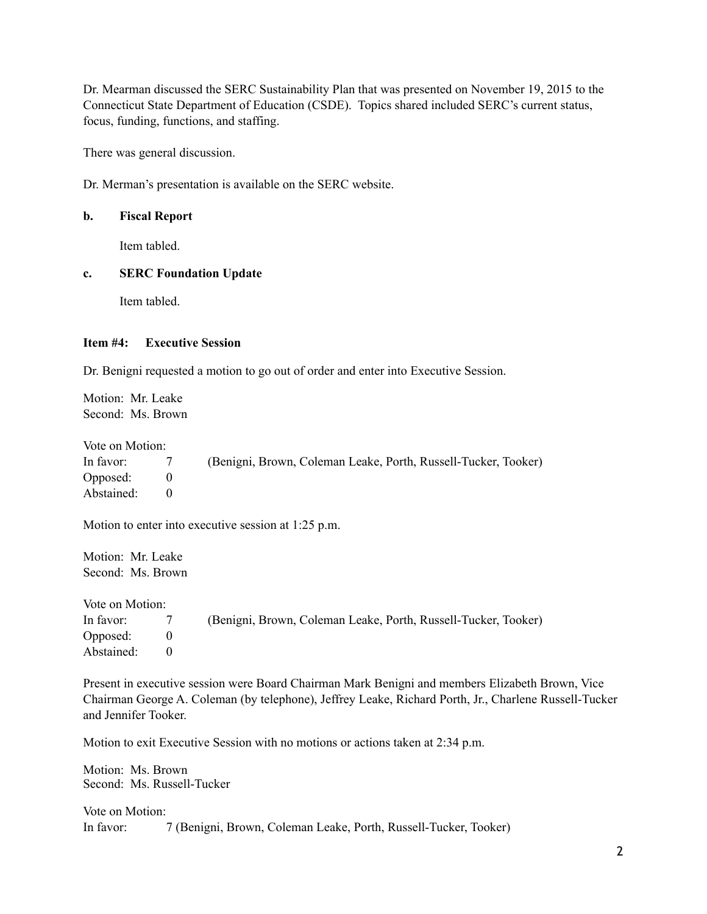Dr. Mearman discussed the SERC Sustainability Plan that was presented on November 19, 2015 to the Connecticut State Department of Education (CSDE). Topics shared included SERC's current status, focus, funding, functions, and staffing.

There was general discussion.

Dr. Merman's presentation is available on the SERC website.

## **b. Fiscal Report**

Item tabled.

## **c. SERC Foundation Update**

Item tabled.

## **Item #4: Executive Session**

Dr. Benigni requested a motion to go out of order and enter into Executive Session.

Motion: Mr. Leake Second: Ms. Brown

Vote on Motion:

| In favor:  | (Benigni, Brown, Coleman Leake, Porth, Russell-Tucker, Tooker) |
|------------|----------------------------------------------------------------|
| Opposed:   |                                                                |
| Abstained: |                                                                |

Motion to enter into executive session at 1:25 p.m.

Motion: Mr. Leake Second: Ms. Brown

Vote on Motion: In favor: 7 (Benigni, Brown, Coleman Leake, Porth, Russell-Tucker, Tooker) Opposed: 0 Abstained: 0

Present in executive session were Board Chairman Mark Benigni and members Elizabeth Brown, Vice Chairman George A. Coleman (by telephone), Jeffrey Leake, Richard Porth, Jr., Charlene Russell-Tucker and Jennifer Tooker.

Motion to exit Executive Session with no motions or actions taken at 2:34 p.m.

Motion: Ms. Brown Second: Ms. Russell-Tucker

Vote on Motion: In favor: 7 (Benigni, Brown, Coleman Leake, Porth, Russell-Tucker, Tooker)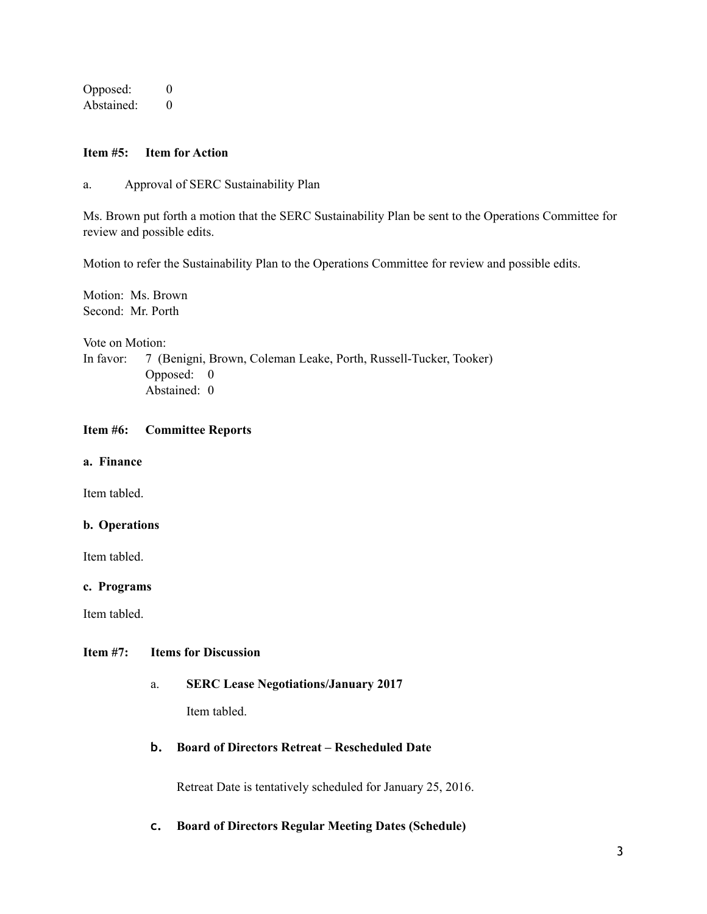Opposed: 0 Abstained: 0

## **Item #5: Item for Action**

a. Approval of SERC Sustainability Plan

Ms. Brown put forth a motion that the SERC Sustainability Plan be sent to the Operations Committee for review and possible edits.

Motion to refer the Sustainability Plan to the Operations Committee for review and possible edits.

Motion: Ms. Brown Second: Mr. Porth

Vote on Motion:

In favor: 7 (Benigni, Brown, Coleman Leake, Porth, Russell-Tucker, Tooker) Opposed: 0 Abstained: 0

## **Item #6: Committee Reports**

**a. Finance**

Item tabled.

## **b. Operations**

Item tabled.

#### **c. Programs**

Item tabled.

## **Item #7: Items for Discussion**

## a. **SERC Lease Negotiations/January 2017**

Item tabled.

## **b. Board of Directors Retreat – Rescheduled Date**

Retreat Date is tentatively scheduled for January 25, 2016.

## **c. Board of Directors Regular Meeting Dates (Schedule)**